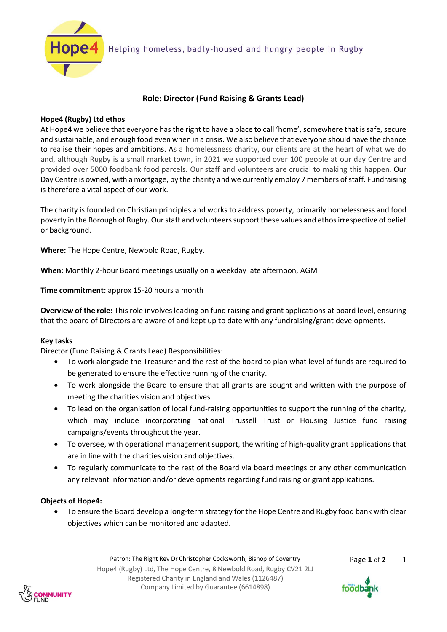

# **Role: Director (Fund Raising & Grants Lead)**

## **Hope4 (Rugby) Ltd ethos**

At Hope4 we believe that everyone has the right to have a place to call 'home', somewhere that is safe, secure and sustainable, and enough food even when in a crisis. We also believe that everyone should have the chance to realise their hopes and ambitions. As a homelessness charity, our clients are at the heart of what we do and, although Rugby is a small market town, in 2021 we supported over 100 people at our day Centre and provided over 5000 foodbank food parcels. Our staff and volunteers are crucial to making this happen. Our Day Centre is owned, with a mortgage, by the charity and we currently employ 7 members of staff. Fundraising is therefore a vital aspect of our work.

The charity is founded on Christian principles and works to address poverty, primarily homelessness and food poverty in the Borough of Rugby. Our staff and volunteers support these values and ethos irrespective of belief or background.

**Where:** The Hope Centre, Newbold Road, Rugby.

**When:** Monthly 2-hour Board meetings usually on a weekday late afternoon, AGM

**Time commitment:** approx 15-20 hours a month

**Overview of the role:** This role involves leading on fund raising and grant applications at board level, ensuring that the board of Directors are aware of and kept up to date with any fundraising/grant developments.

## **Key tasks**

Director (Fund Raising & Grants Lead) Responsibilities:

- To work alongside the Treasurer and the rest of the board to plan what level of funds are required to be generated to ensure the effective running of the charity.
- To work alongside the Board to ensure that all grants are sought and written with the purpose of meeting the charities vision and objectives.
- To lead on the organisation of local fund-raising opportunities to support the running of the charity, which may include incorporating national Trussell Trust or Housing Justice fund raising campaigns/events throughout the year.
- To oversee, with operational management support, the writing of high-quality grant applications that are in line with the charities vision and objectives.
- To regularly communicate to the rest of the Board via board meetings or any other communication any relevant information and/or developments regarding fund raising or grant applications.

## **Objects of Hope4:**

• To ensure the Board develop a long-term strategy for the Hope Centre and Rugby food bank with clear objectives which can be monitored and adapted.

> Patron: The Right Rev Dr Christopher Cocksworth, Bishop of Coventry Page 1 of 2 Hope4 (Rugby) Ltd, The Hope Centre, 8 Newbold Road, Rugby CV21 2LJ Registered Charity in England and Wales (1126487) Company Limited by Guarantee (6614898)